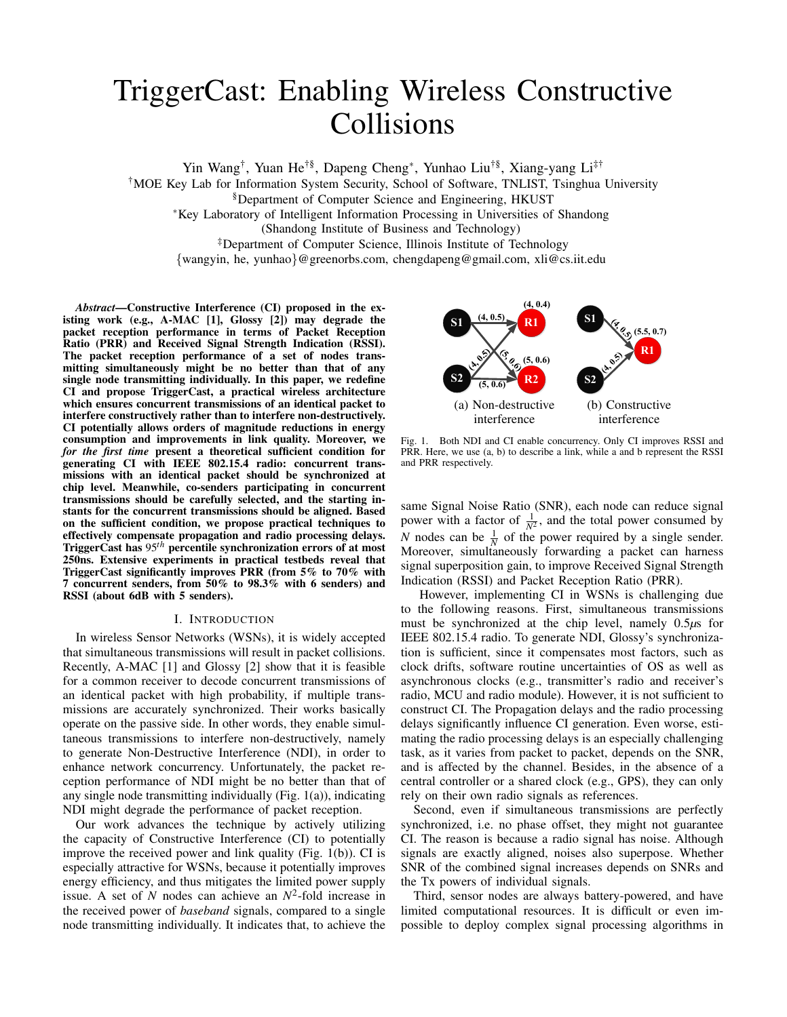# TriggerCast: Enabling Wireless Constructive Collisions

Yin Wang† , Yuan He†§, Dapeng Cheng<sup>∗</sup> , Yunhao Liu†§, Xiang-yang Li‡† †MOE Key Lab for Information System Security, School of Software, TNLIST, Tsinghua University §Department of Computer Science and Engineering, HKUST

<sup>∗</sup>Key Laboratory of Intelligent Information Processing in Universities of Shandong

(Shandong Institute of Business and Technology)

‡Department of Computer Science, Illinois Institute of Technology

{wangyin, he, yunhao}@greenorbs.com, chengdapeng@gmail.com, xli@cs.iit.edu

*Abstract*—Constructive Interference (CI) proposed in the existing work (e.g., A-MAC [1], Glossy [2]) may degrade the packet reception performance in terms of Packet Reception Ratio (PRR) and Received Signal Strength Indication (RSSI). The packet reception performance of a set of nodes transmitting simultaneously might be no better than that of any single node transmitting individually. In this paper, we redefine CI and propose TriggerCast, a practical wireless architecture which ensures concurrent transmissions of an identical packet to interfere constructively rather than to interfere non-destructively. CI potentially allows orders of magnitude reductions in energy consumption and improvements in link quality. Moreover, we *for the first time* present a theoretical sufficient condition for generating CI with IEEE 802.15.4 radio: concurrent transmissions with an identical packet should be synchronized at chip level. Meanwhile, co-senders participating in concurrent transmissions should be carefully selected, and the starting instants for the concurrent transmissions should be aligned. Based on the sufficient condition, we propose practical techniques to effectively compensate propagation and radio processing delays. TriggerCast has 95*th* percentile synchronization errors of at most 250ns. Extensive experiments in practical testbeds reveal that TriggerCast significantly improves PRR (from 5% to 70% with 7 concurrent senders, from 50% to 98.3% with 6 senders) and RSSI (about 6dB with 5 senders).

# I. INTRODUCTION

In wireless Sensor Networks (WSNs), it is widely accepted that simultaneous transmissions will result in packet collisions. Recently, A-MAC [1] and Glossy [2] show that it is feasible for a common receiver to decode concurrent transmissions of an identical packet with high probability, if multiple transmissions are accurately synchronized. Their works basically operate on the passive side. In other words, they enable simultaneous transmissions to interfere non-destructively, namely to generate Non-Destructive Interference (NDI), in order to enhance network concurrency. Unfortunately, the packet reception performance of NDI might be no better than that of any single node transmitting individually (Fig. 1(a)), indicating NDI might degrade the performance of packet reception.

Our work advances the technique by actively utilizing the capacity of Constructive Interference (CI) to potentially improve the received power and link quality (Fig. 1(b)). CI is especially attractive for WSNs, because it potentially improves energy efficiency, and thus mitigates the limited power supply issue. A set of *N* nodes can achieve an  $N^2$ -fold increase in the received power of *baseband* signals, compared to a single node transmitting individually. It indicates that, to achieve the



Fig. 1. Both NDI and CI enable concurrency. Only CI improves RSSI and PRR. Here, we use (a, b) to describe a link, while a and b represent the RSSI and PRR respectively.

same Signal Noise Ratio (SNR), each node can reduce signal power with a factor of  $\frac{1}{N^2}$ , and the total power consumed by *N* nodes can be  $\frac{1}{N}$  of the power required by a single sender. Moreover, simultaneously forwarding a packet can harness signal superposition gain, to improve Received Signal Strength Indication (RSSI) and Packet Reception Ratio (PRR).

However, implementing CI in WSNs is challenging due to the following reasons. First, simultaneous transmissions must be synchronized at the chip level, namely 0.5*µ*s for IEEE 802.15.4 radio. To generate NDI, Glossy's synchronization is sufficient, since it compensates most factors, such as clock drifts, software routine uncertainties of OS as well as asynchronous clocks (e.g., transmitter's radio and receiver's radio, MCU and radio module). However, it is not sufficient to construct CI. The Propagation delays and the radio processing delays significantly influence CI generation. Even worse, estimating the radio processing delays is an especially challenging task, as it varies from packet to packet, depends on the SNR, and is affected by the channel. Besides, in the absence of a central controller or a shared clock (e.g., GPS), they can only rely on their own radio signals as references.

Second, even if simultaneous transmissions are perfectly synchronized, i.e. no phase offset, they might not guarantee CI. The reason is because a radio signal has noise. Although signals are exactly aligned, noises also superpose. Whether SNR of the combined signal increases depends on SNRs and the Tx powers of individual signals.

Third, sensor nodes are always battery-powered, and have limited computational resources. It is difficult or even impossible to deploy complex signal processing algorithms in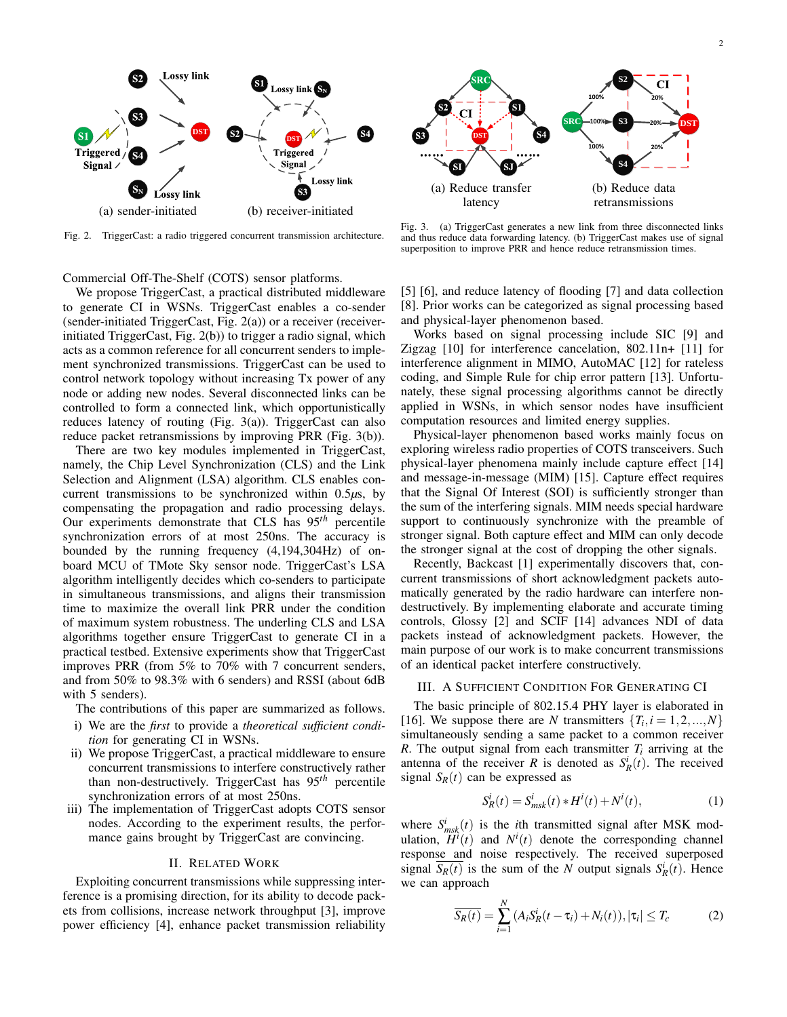

Fig. 2. TriggerCast: a radio triggered concurrent transmission architecture.

Commercial Off-The-Shelf (COTS) sensor platforms.

We propose TriggerCast, a practical distributed middleware to generate CI in WSNs. TriggerCast enables a co-sender (sender-initiated TriggerCast, Fig.  $2(a)$ ) or a receiver (receiverinitiated TriggerCast, Fig. 2(b)) to trigger a radio signal, which acts as a common reference for all concurrent senders to implement synchronized transmissions. TriggerCast can be used to control network topology without increasing Tx power of any node or adding new nodes. Several disconnected links can be controlled to form a connected link, which opportunistically reduces latency of routing (Fig. 3(a)). TriggerCast can also reduce packet retransmissions by improving PRR (Fig. 3(b)).

There are two key modules implemented in TriggerCast, namely, the Chip Level Synchronization (CLS) and the Link Selection and Alignment (LSA) algorithm. CLS enables concurrent transmissions to be synchronized within 0.5*µ*s, by compensating the propagation and radio processing delays. Our experiments demonstrate that CLS has 95*th* percentile synchronization errors of at most 250ns. The accuracy is bounded by the running frequency (4,194,304Hz) of onboard MCU of TMote Sky sensor node. TriggerCast's LSA algorithm intelligently decides which co-senders to participate in simultaneous transmissions, and aligns their transmission time to maximize the overall link PRR under the condition of maximum system robustness. The underling CLS and LSA algorithms together ensure TriggerCast to generate CI in a practical testbed. Extensive experiments show that TriggerCast improves PRR (from 5% to 70% with 7 concurrent senders, and from 50% to 98.3% with 6 senders) and RSSI (about 6dB with 5 senders).

The contributions of this paper are summarized as follows.

- i) We are the *first* to provide a *theoretical sufficient condition* for generating CI in WSNs.
- ii) We propose TriggerCast, a practical middleware to ensure concurrent transmissions to interfere constructively rather than non-destructively. TriggerCast has 95*th* percentile synchronization errors of at most 250ns.
- iii) The implementation of TriggerCast adopts COTS sensor nodes. According to the experiment results, the performance gains brought by TriggerCast are convincing.

#### II. RELATED WORK

Exploiting concurrent transmissions while suppressing interference is a promising direction, for its ability to decode packets from collisions, increase network throughput [3], improve power efficiency [4], enhance packet transmission reliability



Fig. 3. (a) TriggerCast generates a new link from three disconnected links and thus reduce data forwarding latency. (b) TriggerCast makes use of signal superposition to improve PRR and hence reduce retransmission times.

[5] [6], and reduce latency of flooding [7] and data collection [8]. Prior works can be categorized as signal processing based and physical-layer phenomenon based.

Works based on signal processing include SIC [9] and Zigzag [10] for interference cancelation, 802.11n+ [11] for interference alignment in MIMO, AutoMAC [12] for rateless coding, and Simple Rule for chip error pattern [13]. Unfortunately, these signal processing algorithms cannot be directly applied in WSNs, in which sensor nodes have insufficient computation resources and limited energy supplies.

Physical-layer phenomenon based works mainly focus on exploring wireless radio properties of COTS transceivers. Such physical-layer phenomena mainly include capture effect [14] and message-in-message (MIM) [15]. Capture effect requires that the Signal Of Interest (SOI) is sufficiently stronger than the sum of the interfering signals. MIM needs special hardware support to continuously synchronize with the preamble of stronger signal. Both capture effect and MIM can only decode the stronger signal at the cost of dropping the other signals.

Recently, Backcast [1] experimentally discovers that, concurrent transmissions of short acknowledgment packets automatically generated by the radio hardware can interfere nondestructively. By implementing elaborate and accurate timing controls, Glossy [2] and SCIF [14] advances NDI of data packets instead of acknowledgment packets. However, the main purpose of our work is to make concurrent transmissions of an identical packet interfere constructively.

### III. A SUFFICIENT CONDITION FOR GENERATING CI

The basic principle of 802.15.4 PHY layer is elaborated in [16]. We suppose there are *N* transmitters  $\{T_i, i = 1, 2, ..., N\}$ simultaneously sending a same packet to a common receiver *R*. The output signal from each transmitter  $T_i$  arriving at the antenna of the receiver *R* is denoted as  $S_R^i(t)$ . The received signal  $S_R(t)$  can be expressed as

$$
S_R^i(t) = S_{msk}^i(t) * H^i(t) + N^i(t),
$$
\n(1)

where  $S_{msk}^{i}(t)$  is the *i*th transmitted signal after MSK modulation,  $\overrightarrow{H}^i(t)$  and  $N^i(t)$  denote the corresponding channel response and noise respectively. The received superposed signal  $\overline{S_R(t)}$  is the sum of the *N* output signals  $S_R^i(t)$ . Hence we can approach

$$
\overline{S_R(t)} = \sum_{i=1}^{N} \left( A_i S_R^i(t - \tau_i) + N_i(t) \right), |\tau_i| \le T_c \tag{2}
$$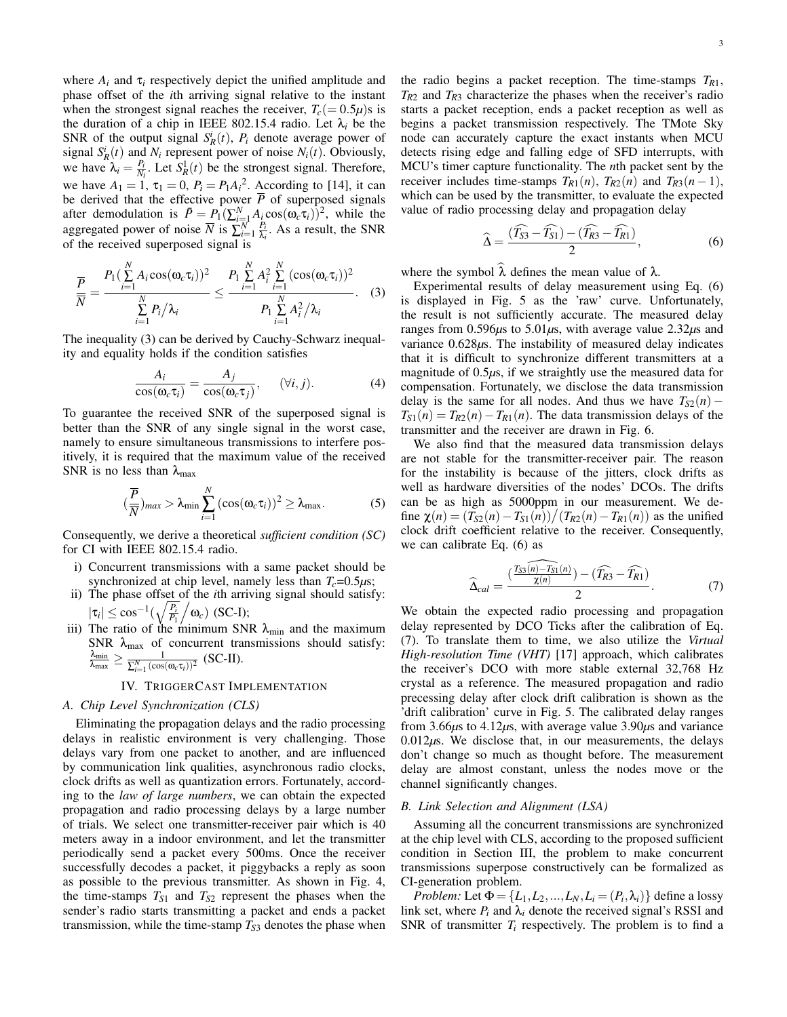where  $A_i$  and  $\tau_i$  respectively depict the unified amplitude and phase offset of the *i*th arriving signal relative to the instant when the strongest signal reaches the receiver,  $T_c (= 0.5\mu)s$  is the duration of a chip in IEEE 802.15.4 radio. Let  $\lambda_i$  be the SNR of the output signal  $S_R^i(t)$ ,  $P_i$  denote average power of signal  $S_R^i(t)$  and  $N_i$  represent power of noise  $N_i(t)$ . Obviously, we have  $\lambda_i = \frac{P_i}{N_i}$ . Let  $S_R^1(t)$  be the strongest signal. Therefore, we have  $A_1 = 1$ ,  $\tau_1 = 0$ ,  $P_i = P_1 A_i^2$ . According to [14], it can be derived that the effective power  $\overline{P}$  of superposed signals after demodulation is  $\bar{P} = P_1(\sum_{i=1}^N A_i \cos(\omega_c \tau_i))^2$ , while the aggregated power of noise  $\overline{N}$  is  $\sum_{i=1}^{N} \frac{P_i}{\lambda_i}$  $\frac{F_i}{\lambda_i}$ . As a result, the SNR of the received superposed signal is

$$
\frac{\overline{P}}{\overline{N}} = \frac{P_1(\sum\limits_{i=1}^N A_i \cos(\omega_c \tau_i))^2}{\sum\limits_{i=1}^N P_i/\lambda_i} \leq \frac{P_1 \sum\limits_{i=1}^N A_i^2 \sum\limits_{i=1}^N (\cos(\omega_c \tau_i))^2}{P_1 \sum\limits_{i=1}^N A_i^2/\lambda_i}.
$$
 (3)

The inequality (3) can be derived by Cauchy-Schwarz inequality and equality holds if the condition satisfies

$$
\frac{A_i}{\cos(\omega_c \tau_i)} = \frac{A_j}{\cos(\omega_c \tau_j)}, \quad (\forall i, j). \tag{4}
$$

To guarantee the received SNR of the superposed signal is better than the SNR of any single signal in the worst case, namely to ensure simultaneous transmissions to interfere positively, it is required that the maximum value of the received SNR is no less than  $\lambda_{\text{max}}$ 

$$
(\frac{\overline{P}}{\overline{N}})_{max} > \lambda_{min} \sum_{i=1}^{N} (\cos(\omega_c \tau_i))^2 \ge \lambda_{max}.
$$
 (5)

Consequently, we derive a theoretical *sufficient condition (SC)* for CI with IEEE 802.15.4 radio.

- i) Concurrent transmissions with a same packet should be synchronized at chip level, namely less than  $T_c = 0.5 \mu s$ ;
- ii) The phase offset of the *i*th arriving signal should satisfy:  $|\tau_i| \leq \cos^{-1}(\sqrt{\frac{P_i}{P_i}})$ *P*1  $\big/ \omega_c \big)$  (SC-I);
- iii) The ratio of the minimum SNR  $\lambda_{\text{min}}$  and the maximum SNR  $\lambda_{\text{max}}$  of concurrent transmissions should satisfy:<br>  $\frac{\lambda_{\text{min}}}{\lambda_{\text{max}}} \ge \frac{1}{\sum_{i=1}^{N} (\cos(\omega_c \tau_i))^2}$  (SC-II).  $\frac{1}{\sum_{i=1}^{N} (\cos(\omega_c \tau_i))^2}$  (SC-II).

## IV. TRIGGERCAST IMPLEMENTATION

## *A. Chip Level Synchronization (CLS)*

Eliminating the propagation delays and the radio processing delays in realistic environment is very challenging. Those delays vary from one packet to another, and are influenced by communication link qualities, asynchronous radio clocks, clock drifts as well as quantization errors. Fortunately, according to the *law of large numbers*, we can obtain the expected propagation and radio processing delays by a large number of trials. We select one transmitter-receiver pair which is 40 meters away in a indoor environment, and let the transmitter periodically send a packet every 500ms. Once the receiver successfully decodes a packet, it piggybacks a reply as soon as possible to the previous transmitter. As shown in Fig. 4, the time-stamps  $T_{S1}$  and  $T_{S2}$  represent the phases when the sender's radio starts transmitting a packet and ends a packet transmission, while the time-stamp  $T_{S3}$  denotes the phase when the radio begins a packet reception. The time-stamps *TR*1,  $T_{R2}$  and  $T_{R3}$  characterize the phases when the receiver's radio starts a packet reception, ends a packet reception as well as begins a packet transmission respectively. The TMote Sky node can accurately capture the exact instants when MCU detects rising edge and falling edge of SFD interrupts, with MCU's timer capture functionality. The *n*th packet sent by the receiver includes time-stamps  $T_{R1}(n)$ ,  $T_{R2}(n)$  and  $T_{R3}(n-1)$ , which can be used by the transmitter, to evaluate the expected value of radio processing delay and propagation delay

$$
\widehat{\Delta} = \frac{(\widehat{T}_{\widehat{S3}} - \widehat{T}_{\widehat{S1}}) - (\widehat{T}_{\widehat{R3}} - \widehat{T}_{\widehat{R1}})}{2},\tag{6}
$$

where the symbol  $\lambda$  defines the mean value of  $\lambda$ .

Experimental results of delay measurement using Eq. (6) is displayed in Fig. 5 as the 'raw' curve. Unfortunately, the result is not sufficiently accurate. The measured delay ranges from 0.596*µ*s to 5.01*µ*s, with average value 2.32*µ*s and variance 0.628 $\mu$ s. The instability of measured delay indicates that it is difficult to synchronize different transmitters at a magnitude of  $0.5\mu s$ , if we straightly use the measured data for compensation. Fortunately, we disclose the data transmission delay is the same for all nodes. And thus we have  $T_{S2}(n)$  –  $T_{S1}(n) = T_{R2}(n) - T_{R1}(n)$ . The data transmission delays of the transmitter and the receiver are drawn in Fig. 6.

We also find that the measured data transmission delays are not stable for the transmitter-receiver pair. The reason for the instability is because of the jitters, clock drifts as well as hardware diversities of the nodes' DCOs. The drifts can be as high as 5000ppm in our measurement. We define  $\chi(n) = (T_{S2}(n) - T_{S1}(n))/(T_{R2}(n) - T_{R1}(n))$  as the unified clock drift coefficient relative to the receiver. Consequently, we can calibrate Eq. (6) as

$$
\widehat{\Delta}_{cal} = \frac{(\overbrace{\mathcal{I}_{S3}(n) - T_{S1}(n)}^{\sqrt{2}}) - (\widehat{\mathcal{I}_{R3} - \mathcal{I}_{R1}})}{2}.
$$
\n(7)

We obtain the expected radio processing and propagation delay represented by DCO Ticks after the calibration of Eq. (7). To translate them to time, we also utilize the *Virtual High-resolution Time (VHT)* [17] approach, which calibrates the receiver's DCO with more stable external 32,768 Hz crystal as a reference. The measured propagation and radio precessing delay after clock drift calibration is shown as the 'drift calibration' curve in Fig. 5. The calibrated delay ranges from 3.66*µ*s to 4.12*µ*s, with average value 3.90*µ*s and variance  $0.012\mu$ s. We disclose that, in our measurements, the delays don't change so much as thought before. The measurement delay are almost constant, unless the nodes move or the channel significantly changes.

#### *B. Link Selection and Alignment (LSA)*

Assuming all the concurrent transmissions are synchronized at the chip level with CLS, according to the proposed sufficient condition in Section III, the problem to make concurrent transmissions superpose constructively can be formalized as CI-generation problem.

*Problem:* Let  $\Phi = \{L_1, L_2, ..., L_N, L_i = (P_i, \lambda_i)\}$  define a lossy link set, where  $P_i$  and  $\lambda_i$  denote the received signal's RSSI and SNR of transmitter  $T_i$  respectively. The problem is to find a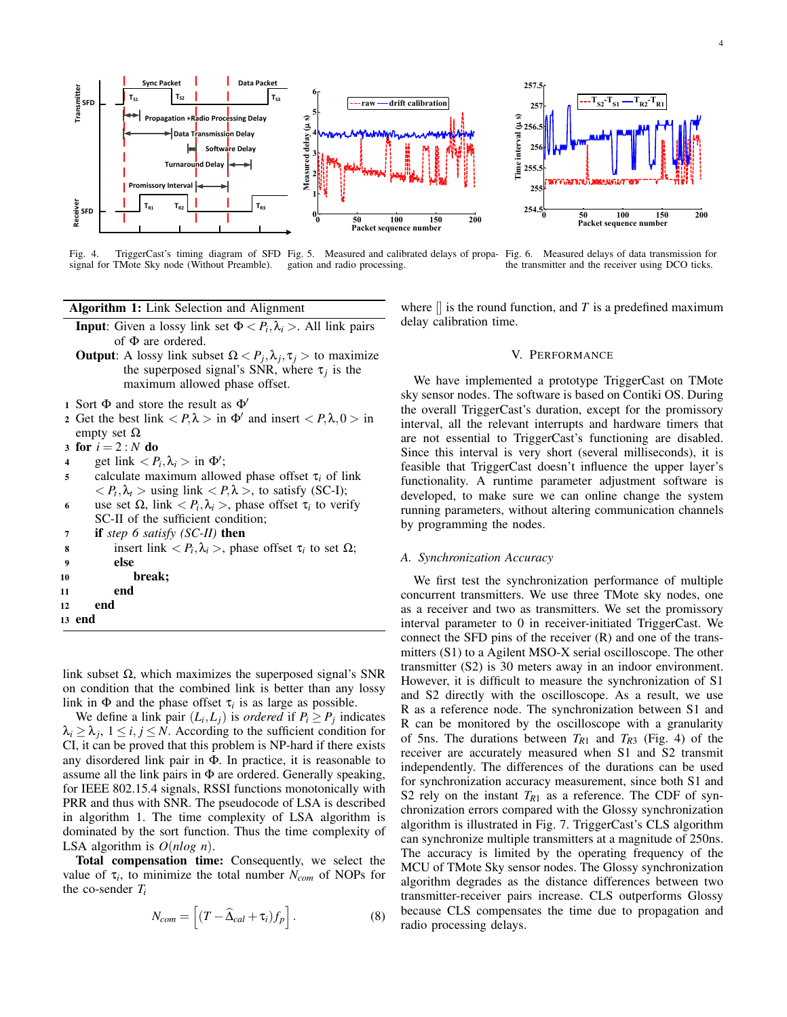

Fig. 4. TriggerCast's timing diagram of SFD Fig. 5. Measured and calibrated delays of propasignal for TMote Sky node (Without Preamble). gation and radio processing. Fig. 6. Measured delays of data transmission for the transmitter and the receiver using DCO ticks.

Algorithm 1: Link Selection and Alignment

- **Input**: Given a lossy link set  $\Phi \langle P_i, \lambda_i \rangle$ . All link pairs of Φ are ordered.
- **Output:** A lossy link subset  $\Omega < P_j, \lambda_j, \tau_j >$  to maximize the superposed signal's SNR, where  $\tau_j$  is the maximum allowed phase offset.
- 1 Sort  $\Phi$  and store the result as  $\Phi'$
- 2 Get the best link  $\langle P, \lambda \rangle$  in  $\Phi'$  and insert  $\langle P, \lambda, 0 \rangle$  in empty set  $Ω$
- 3 for  $i = 2 : N$  do
- 4 get link  $\langle P_i, \lambda_i \rangle$  in  $\Phi'$ ;
- <sup>5</sup> calculate maximum allowed phase offset τ*<sup>i</sup>* of link  $\langle P_t, \lambda_t \rangle$  using link  $\langle P, \lambda \rangle$ , to satisfy (SC-I);
- 6 use set  $\Omega$ , link  $\langle P_i, \lambda_i \rangle$ , phase offset  $\tau_i$  to verify SC-II of the sufficient condition; <sup>7</sup> if *step 6 satisfy (SC-II)* then
- 8 insert link  $\langle P_i, \lambda_i \rangle$ , phase offset τ<sub>*i*</sub> to set Ω;
- 9 else
- 10 break;
- 11 end
- 12 end
- 13 end

link subset Ω, which maximizes the superposed signal's SNR on condition that the combined link is better than any lossy link in  $\Phi$  and the phase offset  $\tau_i$  is as large as possible.

We define a link pair  $(L_i, L_j)$  is *ordered* if  $P_i \ge P_j$  indicates  $\lambda_i \geq \lambda_j$ ,  $1 \leq i, j \leq N$ . According to the sufficient condition for CI, it can be proved that this problem is NP-hard if there exists any disordered link pair in Φ. In practice, it is reasonable to assume all the link pairs in  $\Phi$  are ordered. Generally speaking, for IEEE 802.15.4 signals, RSSI functions monotonically with PRR and thus with SNR. The pseudocode of LSA is described in algorithm 1. The time complexity of LSA algorithm is dominated by the sort function. Thus the time complexity of LSA algorithm is *O*(*nlog n*).

Total compensation time: Consequently, we select the value of  $\tau_i$ , to minimize the total number  $N_{com}$  of NOPs for the co-sender *T<sup>i</sup>*

$$
N_{com} = \left[ (T - \widehat{\Delta}_{cal} + \tau_i) f_p \right]. \tag{8}
$$

where  $\parallel$  is the round function, and *T* is a predefined maximum delay calibration time.

### V. PERFORMANCE

We have implemented a prototype TriggerCast on TMote sky sensor nodes. The software is based on Contiki OS. During the overall TriggerCast's duration, except for the promissory interval, all the relevant interrupts and hardware timers that are not essential to TriggerCast's functioning are disabled. Since this interval is very short (several milliseconds), it is feasible that TriggerCast doesn't influence the upper layer's functionality. A runtime parameter adjustment software is developed, to make sure we can online change the system running parameters, without altering communication channels by programming the nodes.

## *A. Synchronization Accuracy*

We first test the synchronization performance of multiple concurrent transmitters. We use three TMote sky nodes, one as a receiver and two as transmitters. We set the promissory interval parameter to 0 in receiver-initiated TriggerCast. We connect the SFD pins of the receiver (R) and one of the transmitters (S1) to a Agilent MSO-X serial oscilloscope. The other transmitter (S2) is 30 meters away in an indoor environment. However, it is difficult to measure the synchronization of S1 and S2 directly with the oscilloscope. As a result, we use R as a reference node. The synchronization between S1 and R can be monitored by the oscilloscope with a granularity of 5ns. The durations between  $T_{R1}$  and  $T_{R3}$  (Fig. 4) of the receiver are accurately measured when S1 and S2 transmit independently. The differences of the durations can be used for synchronization accuracy measurement, since both S1 and S2 rely on the instant  $T_{R1}$  as a reference. The CDF of synchronization errors compared with the Glossy synchronization algorithm is illustrated in Fig. 7. TriggerCast's CLS algorithm can synchronize multiple transmitters at a magnitude of 250ns. The accuracy is limited by the operating frequency of the MCU of TMote Sky sensor nodes. The Glossy synchronization algorithm degrades as the distance differences between two transmitter-receiver pairs increase. CLS outperforms Glossy because CLS compensates the time due to propagation and radio processing delays.